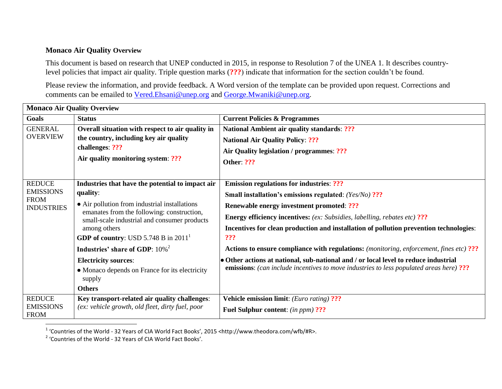## **Monaco Air Quality Overview**

This document is based on research that UNEP conducted in 2015, in response to Resolution 7 of the UNEA 1. It describes countrylevel policies that impact air quality. Triple question marks (**???**) indicate that information for the section couldn't be found.

Please review the information, and provide feedback. A Word version of the template can be provided upon request. Corrections and comments can be emailed to [Vered.Ehsani@unep.org](mailto:Vered.Ehsani@unep.org) and [George.Mwaniki@unep.org.](mailto:George.Mwaniki@unep.org)

| <b>Monaco Air Quality Overview</b>                                    |                                                                                                                                                             |                                                                                                                                                                                |  |
|-----------------------------------------------------------------------|-------------------------------------------------------------------------------------------------------------------------------------------------------------|--------------------------------------------------------------------------------------------------------------------------------------------------------------------------------|--|
| Goals                                                                 | <b>Status</b>                                                                                                                                               | <b>Current Policies &amp; Programmes</b>                                                                                                                                       |  |
| <b>GENERAL</b>                                                        | Overall situation with respect to air quality in                                                                                                            | <b>National Ambient air quality standards: ???</b>                                                                                                                             |  |
| <b>OVERVIEW</b>                                                       | the country, including key air quality<br>challenges: ???                                                                                                   | <b>National Air Quality Policy: ???</b>                                                                                                                                        |  |
|                                                                       |                                                                                                                                                             | Air Quality legislation / programmes: ???                                                                                                                                      |  |
|                                                                       | Air quality monitoring system: ???                                                                                                                          | <b>Other: ???</b>                                                                                                                                                              |  |
| <b>REDUCE</b><br><b>EMISSIONS</b><br><b>FROM</b><br><b>INDUSTRIES</b> | Industries that have the potential to impact air                                                                                                            | <b>Emission regulations for industries: ???</b>                                                                                                                                |  |
|                                                                       | quality:                                                                                                                                                    | Small installation's emissions regulated: (Yes/No) ???                                                                                                                         |  |
|                                                                       | • Air pollution from industrial installations<br>emanates from the following: construction,<br>small-scale industrial and consumer products<br>among others | <b>Renewable energy investment promoted: ???</b>                                                                                                                               |  |
|                                                                       |                                                                                                                                                             | <b>Energy efficiency incentives:</b> (ex: Subsidies, labelling, rebates etc) ???                                                                                               |  |
|                                                                       |                                                                                                                                                             | Incentives for clean production and installation of pollution prevention technologies:                                                                                         |  |
|                                                                       | <b>GDP of country:</b> USD 5.748 B in $20111$                                                                                                               | ???                                                                                                                                                                            |  |
|                                                                       | Industries' share of GDP: 10% <sup>2</sup>                                                                                                                  | <b>Actions to ensure compliance with regulations:</b> (monitoring, enforcement, fines etc) ???                                                                                 |  |
|                                                                       | <b>Electricity sources:</b>                                                                                                                                 | • Other actions at national, sub-national and / or local level to reduce industrial<br>emissions: (can include incentives to move industries to less populated areas here) ??? |  |
|                                                                       | • Monaco depends on France for its electricity<br>supply                                                                                                    |                                                                                                                                                                                |  |
|                                                                       | <b>Others</b>                                                                                                                                               |                                                                                                                                                                                |  |
| <b>REDUCE</b>                                                         | Key transport-related air quality challenges:                                                                                                               | <b>Vehicle emission limit:</b> (Euro rating) ???                                                                                                                               |  |
| <b>EMISSIONS</b><br><b>FROM</b>                                       | (ex: vehicle growth, old fleet, dirty fuel, poor                                                                                                            | <b>Fuel Sulphur content:</b> (in ppm) ???                                                                                                                                      |  |

 1 'Countries of the World - 32 Years of CIA World Fact Books', 2015 <http://www.theodora.com/wfb/#R>.

<sup>&</sup>lt;sup>2</sup> 'Countries of the World - 32 Years of CIA World Fact Books'.